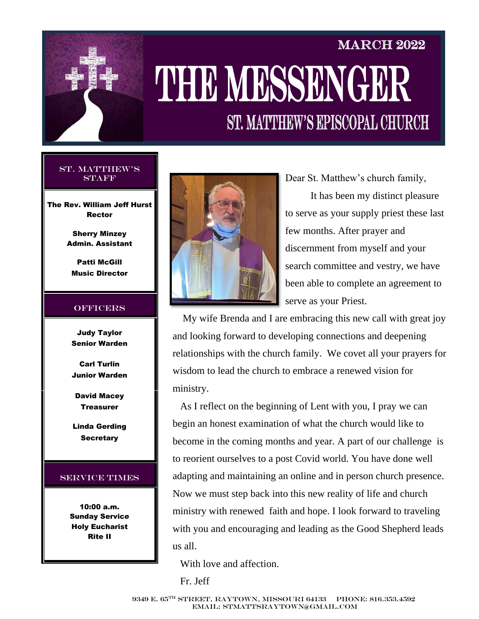

# **MARCH 2022** THE MESSENGER **ST. MATTHEW'S EPISCOPAL CHURCH**

#### St. Matthew's **STAFF**

The Rev. William Jeff Hurst Rector

> Sherry Minzey Admin. Assistant

Patti McGill Music Director

#### **OFFICERS**

Judy Taylor Senior Warden

Carl Turlin Junior Warden

David Macey **Treasurer** 

Linda Gerding **Secretary** 

#### Service Times

10:00 a.m. Sunday Service Holy Eucharist Rite II



Dear St. Matthew's church family,

 It has been my distinct pleasure to serve as your supply priest these last few months. After prayer and discernment from myself and your search committee and vestry, we have been able to complete an agreement to serve as your Priest.

 My wife Brenda and I are embracing this new call with great joy and looking forward to developing connections and deepening relationships with the church family. We covet all your prayers for wisdom to lead the church to embrace a renewed vision for ministry.

 As I reflect on the beginning of Lent with you, I pray we can begin an honest examination of what the church would like to become in the coming months and year. A part of our challenge is to reorient ourselves to a post Covid world. You have done well adapting and maintaining an online and in person church presence. Now we must step back into this new reality of life and church ministry with renewed faith and hope. I look forward to traveling with you and encouraging and leading as the Good Shepherd leads us all.

With love and affection.

Fr. Jeff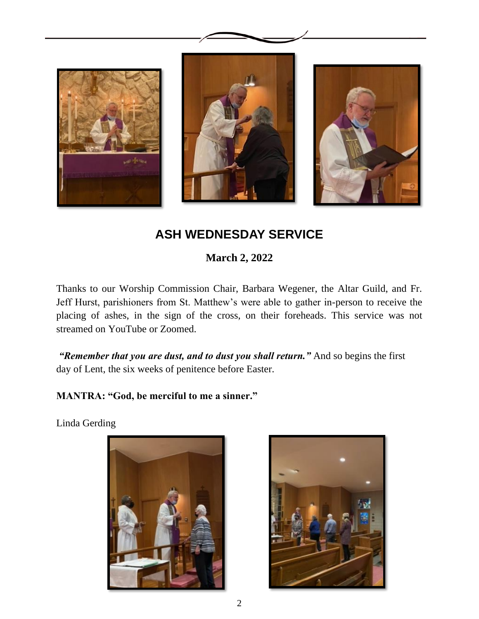

## **ASH WEDNESDAY SERVICE**

**March 2, 2022**

Thanks to our Worship Commission Chair, Barbara Wegener, the Altar Guild, and Fr. Jeff Hurst, parishioners from St. Matthew's were able to gather in-person to receive the placing of ashes, in the sign of the cross, on their foreheads. This service was not streamed on YouTube or Zoomed.

*"Remember that you are dust, and to dust you shall return."* And so begins the first day of Lent, the six weeks of penitence before Easter.

**MANTRA: "God, be merciful to me a sinner."**

Linda Gerding



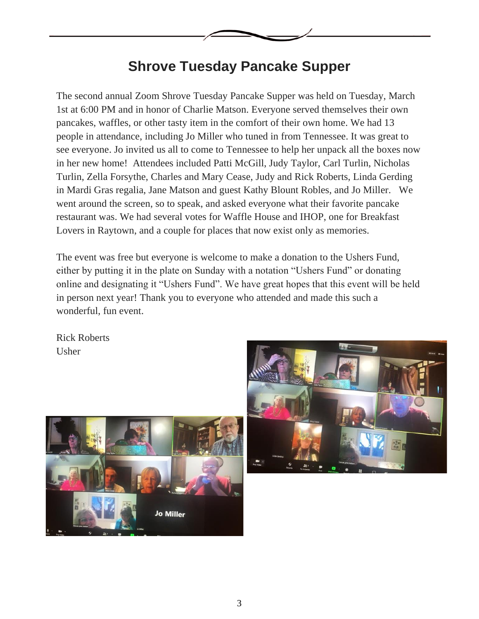

## **Shrove Tuesday Pancake Supper**

The second annual Zoom Shrove Tuesday Pancake Supper was held on Tuesday, March 1st at 6:00 PM and in honor of Charlie Matson. Everyone served themselves their own pancakes, waffles, or other tasty item in the comfort of their own home. We had 13 people in attendance, including Jo Miller who tuned in from Tennessee. It was great to see everyone. Jo invited us all to come to Tennessee to help her unpack all the boxes now in her new home! Attendees included Patti McGill, Judy Taylor, Carl Turlin, Nicholas Turlin, Zella Forsythe, Charles and Mary Cease, Judy and Rick Roberts, Linda Gerding in Mardi Gras regalia, Jane Matson and guest Kathy Blount Robles, and Jo Miller. We went around the screen, so to speak, and asked everyone what their favorite pancake restaurant was. We had several votes for Waffle House and IHOP, one for Breakfast Lovers in Raytown, and a couple for places that now exist only as memories.

The event was free but everyone is welcome to make a donation to the Ushers Fund, either by putting it in the plate on Sunday with a notation "Ushers Fund" or donating online and designating it "Ushers Fund". We have great hopes that this event will be held in person next year! Thank you to everyone who attended and made this such a wonderful, fun event.

Rick Roberts Usher



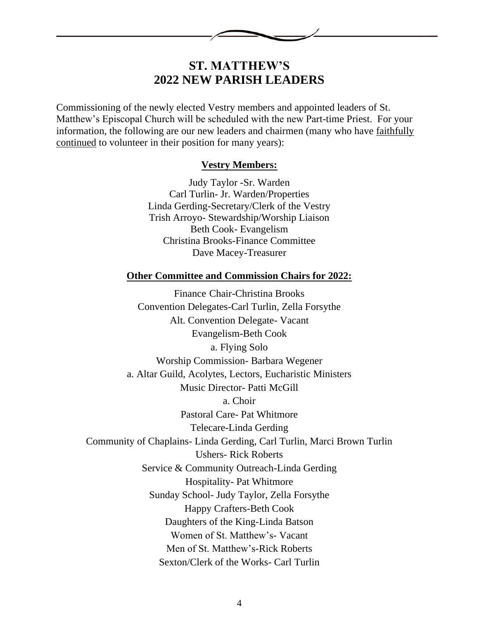

## **ST. MATTHEW'S 2022 NEW PARISH LEADERS**

Commissioning of the newly elected Vestry members and appointed leaders of St. Matthew's Episcopal Church will be scheduled with the new Part-time Priest. For your information, the following are our new leaders and chairmen (many who have faithfully continued to volunteer in their position for many years):

### **Vestry Members:**

Judy Taylor -Sr. Warden Carl Turlin- Jr. Warden/Properties Linda Gerding-Secretary/Clerk of the Vestry Trish Arroyo- Stewardship/Worship Liaison Beth Cook- Evangelism Christina Brooks-Finance Committee Dave Macey-Treasurer

#### **Other Committee and Commission Chairs for 2022:**

Finance Chair-Christina Brooks Convention Delegates-Carl Turlin, Zella Forsythe Alt. Convention Delegate- Vacant Evangelism-Beth Cook a. Flying Solo Worship Commission- Barbara Wegener a. Altar Guild, Acolytes, Lectors, Eucharistic Ministers Music Director- Patti McGill a. Choir Pastoral Care- Pat Whitmore Telecare-Linda Gerding Community of Chaplains- Linda Gerding, Carl Turlin, Marci Brown Turlin Ushers- Rick Roberts Service & Community Outreach-Linda Gerding Hospitality- Pat Whitmore Sunday School- Judy Taylor, Zella Forsythe Happy Crafters-Beth Cook Daughters of the King-Linda Batson Women of St. Matthew's- Vacant Men of St. Matthew's-Rick Roberts Sexton/Clerk of the Works- Carl Turlin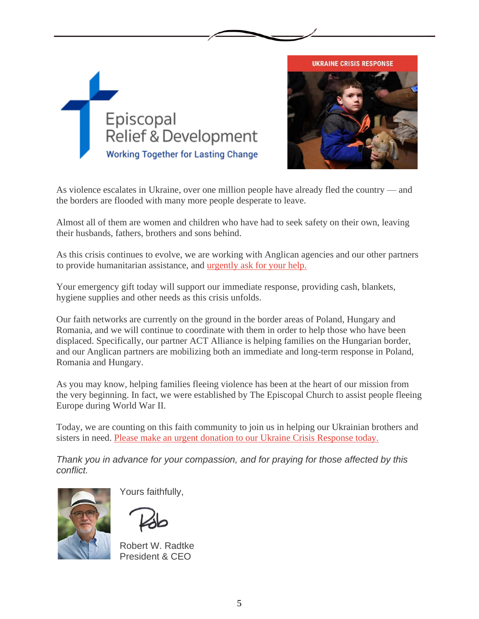



As violence escalates in Ukraine, over one million people have already fled the country — and the borders are flooded with many more people desperate to leave.

Almost all of them are women and children who have had to seek safety on their own, leaving their husbands, fathers, brothers and sons behind.

As this crisis continues to evolve, we are working with Anglican agencies and our other partners to provide humanitarian assistance, and [urgently ask for your help.](http://links.sankynet.mkt5125.com/els/v2/wxXdFzkG~wSz/VXFEMkl6RlNkWG95TjBmcEMxMk9nN1B4ditERkNPSzFUZXBBazl3WUp4TkRGVitpRnBXNGpLT1g2ZVlLMDhreWY4dzBCQk1Pd1JZU3d1NFRSU1piWGdWakpCOUhGaG1iWUpWM05adTc1S1k9S0/ZWR3T09FOThkbTRLNGh4d0tsVGVSWWU1TVUvR2xWbFRQZFhaYmwreHlmRHIvRWZsNHBVQlJ3PT0S1)

Your emergency gift today will support our immediate response, providing cash, blankets, hygiene supplies and other needs as this crisis unfolds.

Our faith networks are currently on the ground in the border areas of Poland, Hungary and Romania, and we will continue to coordinate with them in order to help those who have been displaced. Specifically, our partner ACT Alliance is helping families on the Hungarian border, and our Anglican partners are mobilizing both an immediate and long-term response in Poland, Romania and Hungary.

As you may know, helping families fleeing violence has been at the heart of our mission from the very beginning. In fact, we were established by The Episcopal Church to assist people fleeing Europe during World War II.

Today, we are counting on this faith community to join us in helping our Ukrainian brothers and sisters in need. [Please make an urgent donation to our Ukraine Crisis Response today.](http://links.sankynet.mkt5125.com/els/v2/~b48c_GdmYSk/VXFEMkl6RlNkWG95TjBmcEMxMk9nN1B4ditERkNPSzFUZXBBazl3WUp4TkRGVitpRnBXNGpLT1g2ZVlLMDhreWY4dzBCQk1Pd1JZU3d1NFRSU1piWGdWakpCOUhGaG1iWUpWM05adTc1S1k9S0/ZWR3T09FOThkbTRLNGh4d0tsVGVSWWU1TVUvR2xWbFRQZFhaYmwreHlmRHIvRWZsNHBVQlJ3PT0S1)

*Thank you in advance for your compassion, and for praying for those affected by this conflict.*



Yours faithfully,

Robert W. Radtke President & CEO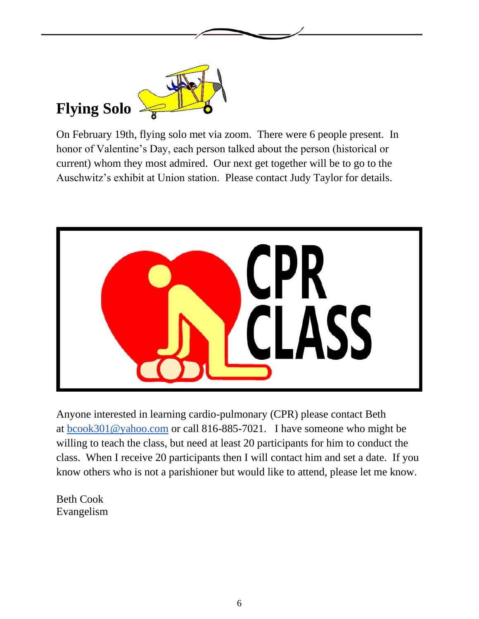

# **Flying Solo**

On February 19th, flying solo met via zoom. There were 6 people present. In honor of Valentine's Day, each person talked about the person (historical or current) whom they most admired. Our next get together will be to go to the Auschwitz's exhibit at Union station. Please contact Judy Taylor for details.



Anyone interested in learning cardio-pulmonary (CPR) please contact Beth at [bcook301@yahoo.com](mailto:bcook301@yahoo.com) or call 816-885-7021. I have someone who might be willing to teach the class, but need at least 20 participants for him to conduct the class. When I receive 20 participants then I will contact him and set a date. If you know others who is not a parishioner but would like to attend, please let me know.

Beth Cook Evangelism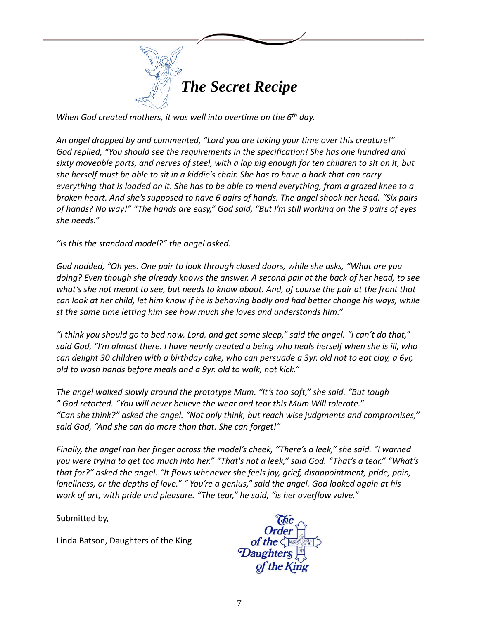

*When God created mothers, it was well into overtime on the 6th day.*

*An angel dropped by and commented, "Lord you are taking your time over this creature!" God replied, "You should see the requirements in the specification! She has one hundred and sixty moveable parts, and nerves of steel, with a lap big enough for ten children to sit on it, but she herself must be able to sit in a kiddie's chair. She has to have a back that can carry everything that is loaded on it. She has to be able to mend everything, from a grazed knee to a broken heart. And she's supposed to have 6 pairs of hands. The angel shook her head. "Six pairs of hands? No way!" "The hands are easy," God said, "But I'm still working on the 3 pairs of eyes she needs."*

*"Is this the standard model?" the angel asked.*

*God nodded, "Oh yes. One pair to look through closed doors, while she asks, "What are you doing? Even though she already knows the answer. A second pair at the back of her head, to see what's she not meant to see, but needs to know about. And, of course the pair at the front that can look at her child, let him know if he is behaving badly and had better change his ways, while st the same time letting him see how much she loves and understands him."*

*"I think you should go to bed now, Lord, and get some sleep," said the angel. "I can't do that," said God, "I'm almost there. I have nearly created a being who heals herself when she is ill, who can delight 30 children with a birthday cake, who can persuade a 3yr. old not to eat clay, a 6yr, old to wash hands before meals and a 9yr. old to walk, not kick."*

*The angel walked slowly around the prototype Mum. "It's too soft," she said. "But tough " God retorted. "You will never believe the wear and tear this Mum Will tolerate." "Can she think?" asked the angel. "Not only think, but reach wise judgments and compromises," said God, "And she can do more than that. She can forget!"*

*Finally, the angel ran her finger across the model's cheek, "There's a leek," she said. "I warned you were trying to get too much into her." "That's not a leek," said God. "That's a tear." "What's that for?" asked the angel. "It flows whenever she feels joy, grief, disappointment, pride, pain, loneliness, or the depths of love." " You're a genius," said the angel. God looked again at his work of art, with pride and pleasure. "The tear," he said, "is her overflow valve."*

Submitted by,

Linda Batson, Daughters of the King